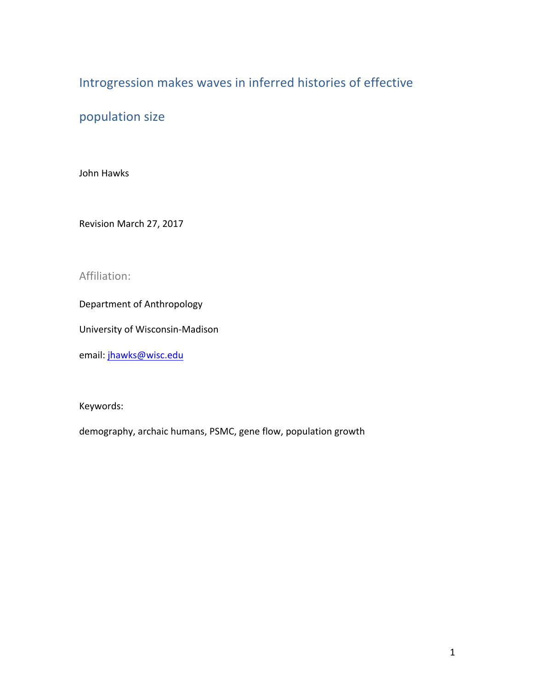# Introgression makes waves in inferred histories of effective

# population size

John Hawks

Revision March 27, 2017

# Affiliation:

Department of Anthropology

University of Wisconsin-Madison

email: jhawks@wisc.edu

Keywords: 

demography, archaic humans, PSMC, gene flow, population growth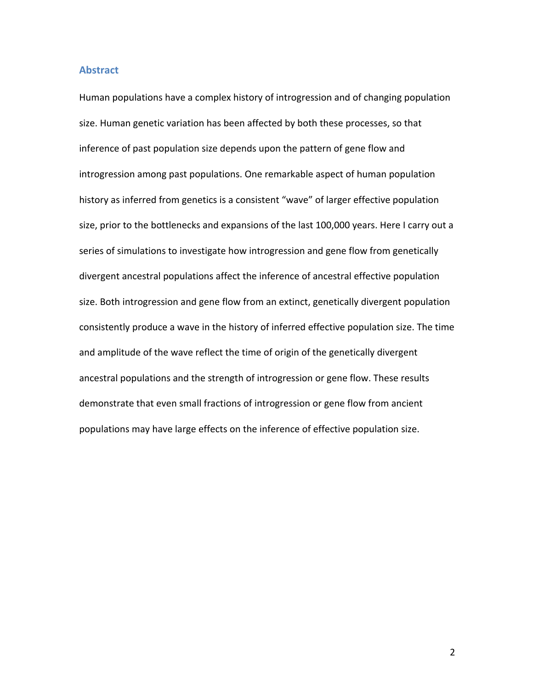#### **Abstract**

Human populations have a complex history of introgression and of changing population size. Human genetic variation has been affected by both these processes, so that inference of past population size depends upon the pattern of gene flow and introgression among past populations. One remarkable aspect of human population history as inferred from genetics is a consistent "wave" of larger effective population size, prior to the bottlenecks and expansions of the last 100,000 years. Here I carry out a series of simulations to investigate how introgression and gene flow from genetically divergent ancestral populations affect the inference of ancestral effective population size. Both introgression and gene flow from an extinct, genetically divergent population consistently produce a wave in the history of inferred effective population size. The time and amplitude of the wave reflect the time of origin of the genetically divergent ancestral populations and the strength of introgression or gene flow. These results demonstrate that even small fractions of introgression or gene flow from ancient populations may have large effects on the inference of effective population size.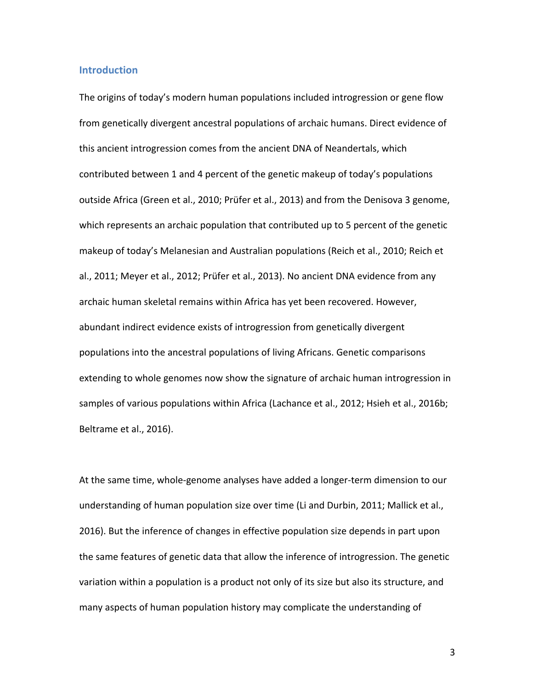### **Introduction**

The origins of today's modern human populations included introgression or gene flow from genetically divergent ancestral populations of archaic humans. Direct evidence of this ancient introgression comes from the ancient DNA of Neandertals, which contributed between 1 and 4 percent of the genetic makeup of today's populations outside Africa (Green et al., 2010; Prüfer et al., 2013) and from the Denisova 3 genome, which represents an archaic population that contributed up to 5 percent of the genetic makeup of today's Melanesian and Australian populations (Reich et al., 2010; Reich et al., 2011; Meyer et al., 2012; Prüfer et al., 2013). No ancient DNA evidence from any archaic human skeletal remains within Africa has yet been recovered. However, abundant indirect evidence exists of introgression from genetically divergent populations into the ancestral populations of living Africans. Genetic comparisons extending to whole genomes now show the signature of archaic human introgression in samples of various populations within Africa (Lachance et al., 2012; Hsieh et al., 2016b; Beltrame et al., 2016).

At the same time, whole-genome analyses have added a longer-term dimension to our understanding of human population size over time (Li and Durbin, 2011; Mallick et al., 2016). But the inference of changes in effective population size depends in part upon the same features of genetic data that allow the inference of introgression. The genetic variation within a population is a product not only of its size but also its structure, and many aspects of human population history may complicate the understanding of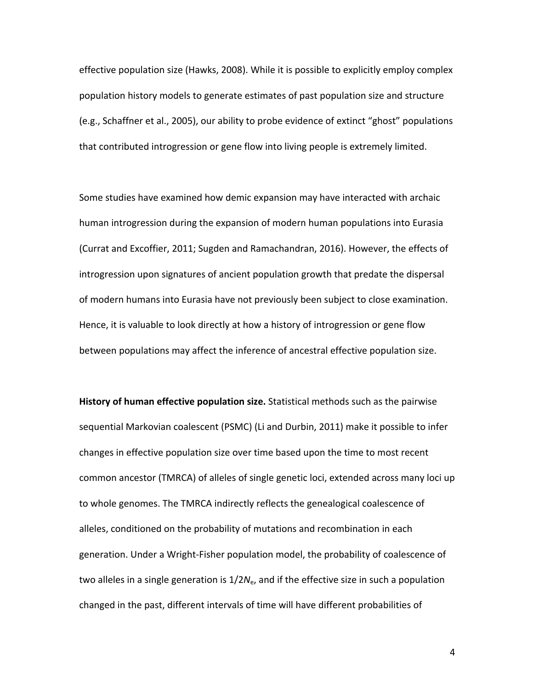effective population size (Hawks, 2008). While it is possible to explicitly employ complex population history models to generate estimates of past population size and structure (e.g., Schaffner et al., 2005), our ability to probe evidence of extinct "ghost" populations that contributed introgression or gene flow into living people is extremely limited.

Some studies have examined how demic expansion may have interacted with archaic human introgression during the expansion of modern human populations into Eurasia (Currat and Excoffier, 2011; Sugden and Ramachandran, 2016). However, the effects of introgression upon signatures of ancient population growth that predate the dispersal of modern humans into Eurasia have not previously been subject to close examination. Hence, it is valuable to look directly at how a history of introgression or gene flow between populations may affect the inference of ancestral effective population size.

**History of human effective population size.** Statistical methods such as the pairwise sequential Markovian coalescent (PSMC) (Li and Durbin, 2011) make it possible to infer changes in effective population size over time based upon the time to most recent common ancestor (TMRCA) of alleles of single genetic loci, extended across many loci up to whole genomes. The TMRCA indirectly reflects the genealogical coalescence of alleles, conditioned on the probability of mutations and recombination in each generation. Under a Wright-Fisher population model, the probability of coalescence of two alleles in a single generation is  $1/2N_e$ , and if the effective size in such a population changed in the past, different intervals of time will have different probabilities of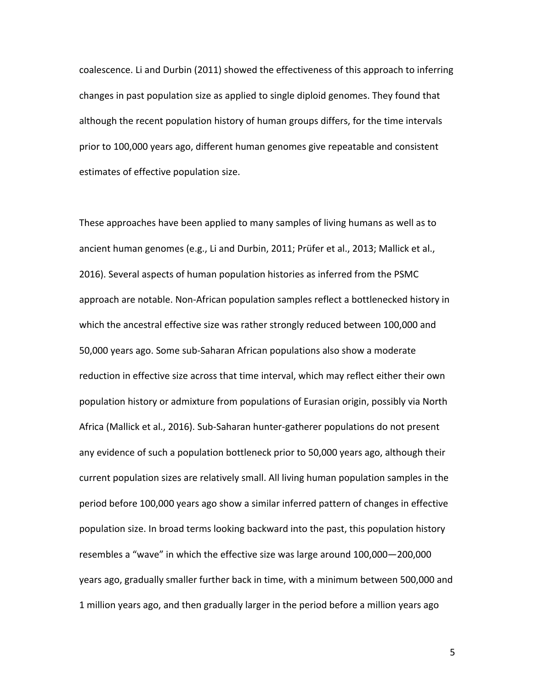coalescence. Li and Durbin (2011) showed the effectiveness of this approach to inferring changes in past population size as applied to single diploid genomes. They found that although the recent population history of human groups differs, for the time intervals prior to 100,000 years ago, different human genomes give repeatable and consistent estimates of effective population size.

These approaches have been applied to many samples of living humans as well as to ancient human genomes (e.g., Li and Durbin, 2011; Prüfer et al., 2013; Mallick et al., 2016). Several aspects of human population histories as inferred from the PSMC approach are notable. Non-African population samples reflect a bottlenecked history in which the ancestral effective size was rather strongly reduced between 100,000 and 50,000 years ago. Some sub-Saharan African populations also show a moderate reduction in effective size across that time interval, which may reflect either their own population history or admixture from populations of Eurasian origin, possibly via North Africa (Mallick et al., 2016). Sub-Saharan hunter-gatherer populations do not present any evidence of such a population bottleneck prior to 50,000 years ago, although their current population sizes are relatively small. All living human population samples in the period before 100,000 years ago show a similar inferred pattern of changes in effective population size. In broad terms looking backward into the past, this population history resembles a "wave" in which the effective size was large around 100,000-200,000 years ago, gradually smaller further back in time, with a minimum between 500,000 and 1 million years ago, and then gradually larger in the period before a million years ago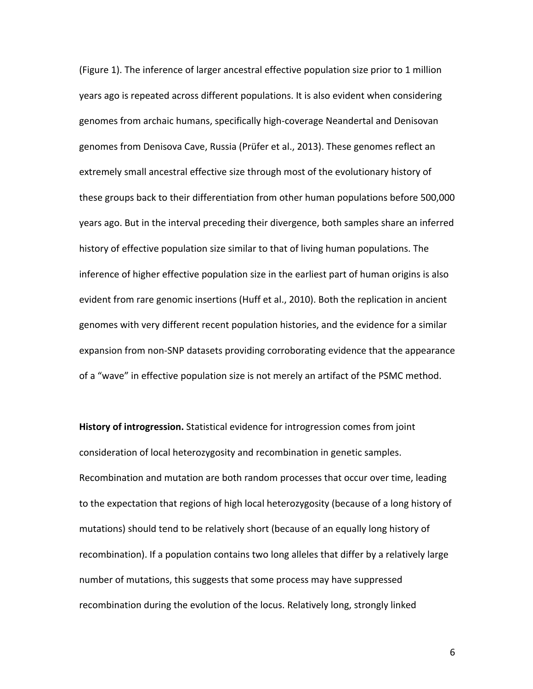(Figure 1). The inference of larger ancestral effective population size prior to 1 million years ago is repeated across different populations. It is also evident when considering genomes from archaic humans, specifically high-coverage Neandertal and Denisovan genomes from Denisova Cave, Russia (Prüfer et al., 2013). These genomes reflect an extremely small ancestral effective size through most of the evolutionary history of these groups back to their differentiation from other human populations before 500,000 years ago. But in the interval preceding their divergence, both samples share an inferred history of effective population size similar to that of living human populations. The inference of higher effective population size in the earliest part of human origins is also evident from rare genomic insertions (Huff et al., 2010). Both the replication in ancient genomes with very different recent population histories, and the evidence for a similar expansion from non-SNP datasets providing corroborating evidence that the appearance of a "wave" in effective population size is not merely an artifact of the PSMC method.

**History of introgression.** Statistical evidence for introgression comes from joint consideration of local heterozygosity and recombination in genetic samples. Recombination and mutation are both random processes that occur over time, leading to the expectation that regions of high local heterozygosity (because of a long history of mutations) should tend to be relatively short (because of an equally long history of recombination). If a population contains two long alleles that differ by a relatively large number of mutations, this suggests that some process may have suppressed recombination during the evolution of the locus. Relatively long, strongly linked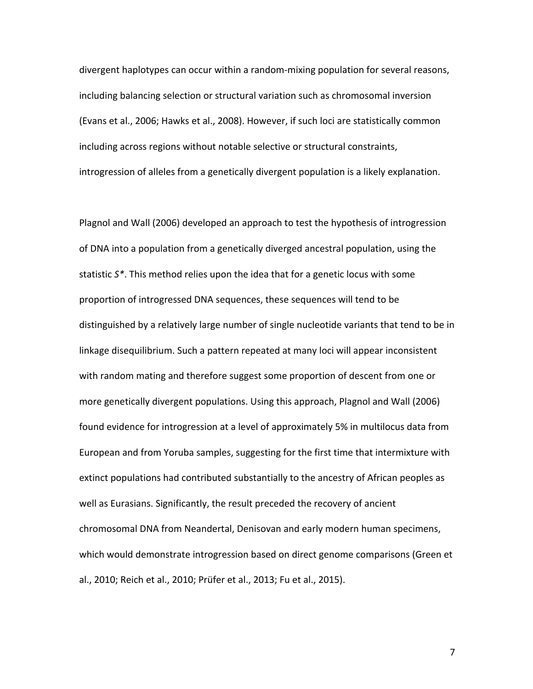divergent haplotypes can occur within a random-mixing population for several reasons, including balancing selection or structural variation such as chromosomal inversion (Evans et al., 2006; Hawks et al., 2008). However, if such loci are statistically common including across regions without notable selective or structural constraints, introgression of alleles from a genetically divergent population is a likely explanation.

Plagnol and Wall (2006) developed an approach to test the hypothesis of introgression of DNA into a population from a genetically diverged ancestral population, using the statistic  $S^*$ . This method relies upon the idea that for a genetic locus with some proportion of introgressed DNA sequences, these sequences will tend to be distinguished by a relatively large number of single nucleotide variants that tend to be in linkage disequilibrium. Such a pattern repeated at many loci will appear inconsistent with random mating and therefore suggest some proportion of descent from one or more genetically divergent populations. Using this approach, Plagnol and Wall (2006) found evidence for introgression at a level of approximately 5% in multilocus data from European and from Yoruba samples, suggesting for the first time that intermixture with extinct populations had contributed substantially to the ancestry of African peoples as well as Eurasians. Significantly, the result preceded the recovery of ancient chromosomal DNA from Neandertal, Denisovan and early modern human specimens, which would demonstrate introgression based on direct genome comparisons (Green et al., 2010; Reich et al., 2010; Prüfer et al., 2013; Fu et al., 2015).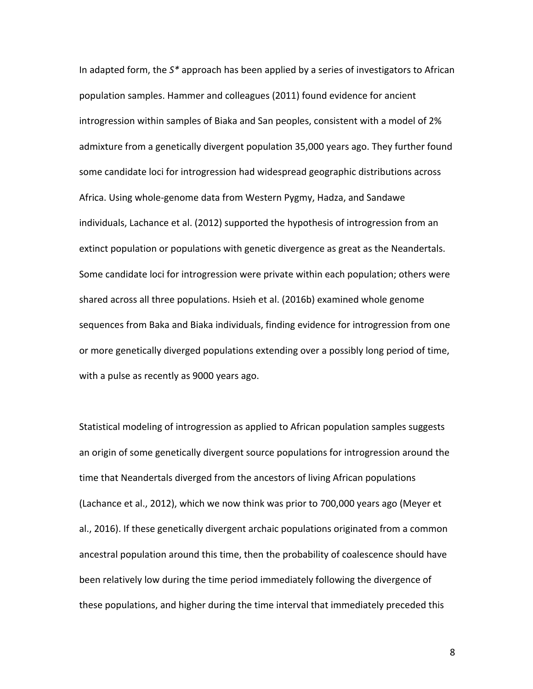In adapted form, the S<sup>\*</sup> approach has been applied by a series of investigators to African population samples. Hammer and colleagues (2011) found evidence for ancient introgression within samples of Biaka and San peoples, consistent with a model of 2% admixture from a genetically divergent population 35,000 years ago. They further found some candidate loci for introgression had widespread geographic distributions across Africa. Using whole-genome data from Western Pygmy, Hadza, and Sandawe individuals, Lachance et al. (2012) supported the hypothesis of introgression from an extinct population or populations with genetic divergence as great as the Neandertals. Some candidate loci for introgression were private within each population; others were shared across all three populations. Hsieh et al. (2016b) examined whole genome sequences from Baka and Biaka individuals, finding evidence for introgression from one or more genetically diverged populations extending over a possibly long period of time, with a pulse as recently as 9000 years ago.

Statistical modeling of introgression as applied to African population samples suggests an origin of some genetically divergent source populations for introgression around the time that Neandertals diverged from the ancestors of living African populations (Lachance et al., 2012), which we now think was prior to 700,000 years ago (Meyer et al., 2016). If these genetically divergent archaic populations originated from a common ancestral population around this time, then the probability of coalescence should have been relatively low during the time period immediately following the divergence of these populations, and higher during the time interval that immediately preceded this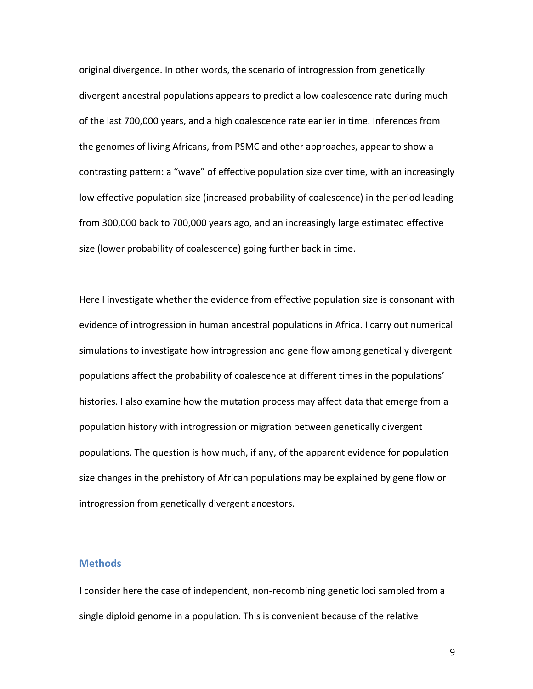original divergence. In other words, the scenario of introgression from genetically divergent ancestral populations appears to predict a low coalescence rate during much of the last 700,000 years, and a high coalescence rate earlier in time. Inferences from the genomes of living Africans, from PSMC and other approaches, appear to show a contrasting pattern: a "wave" of effective population size over time, with an increasingly low effective population size (increased probability of coalescence) in the period leading from 300,000 back to 700,000 years ago, and an increasingly large estimated effective size (lower probability of coalescence) going further back in time.

Here I investigate whether the evidence from effective population size is consonant with evidence of introgression in human ancestral populations in Africa. I carry out numerical simulations to investigate how introgression and gene flow among genetically divergent populations affect the probability of coalescence at different times in the populations' histories. I also examine how the mutation process may affect data that emerge from a population history with introgression or migration between genetically divergent populations. The question is how much, if any, of the apparent evidence for population size changes in the prehistory of African populations may be explained by gene flow or introgression from genetically divergent ancestors.

### **Methods**

I consider here the case of independent, non-recombining genetic loci sampled from a single diploid genome in a population. This is convenient because of the relative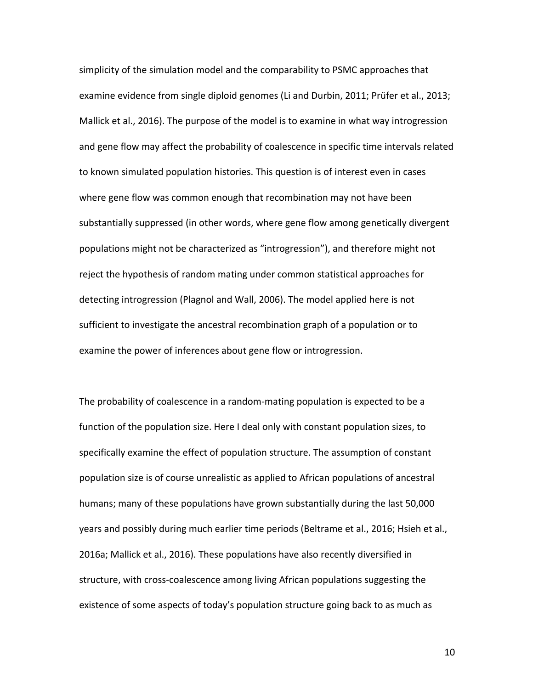simplicity of the simulation model and the comparability to PSMC approaches that examine evidence from single diploid genomes (Li and Durbin, 2011; Prüfer et al., 2013; Mallick et al., 2016). The purpose of the model is to examine in what way introgression and gene flow may affect the probability of coalescence in specific time intervals related to known simulated population histories. This question is of interest even in cases where gene flow was common enough that recombination may not have been substantially suppressed (in other words, where gene flow among genetically divergent populations might not be characterized as "introgression"), and therefore might not reject the hypothesis of random mating under common statistical approaches for detecting introgression (Plagnol and Wall, 2006). The model applied here is not sufficient to investigate the ancestral recombination graph of a population or to examine the power of inferences about gene flow or introgression.

The probability of coalescence in a random-mating population is expected to be a function of the population size. Here I deal only with constant population sizes, to specifically examine the effect of population structure. The assumption of constant population size is of course unrealistic as applied to African populations of ancestral humans; many of these populations have grown substantially during the last 50,000 years and possibly during much earlier time periods (Beltrame et al., 2016; Hsieh et al., 2016a; Mallick et al., 2016). These populations have also recently diversified in structure, with cross-coalescence among living African populations suggesting the existence of some aspects of today's population structure going back to as much as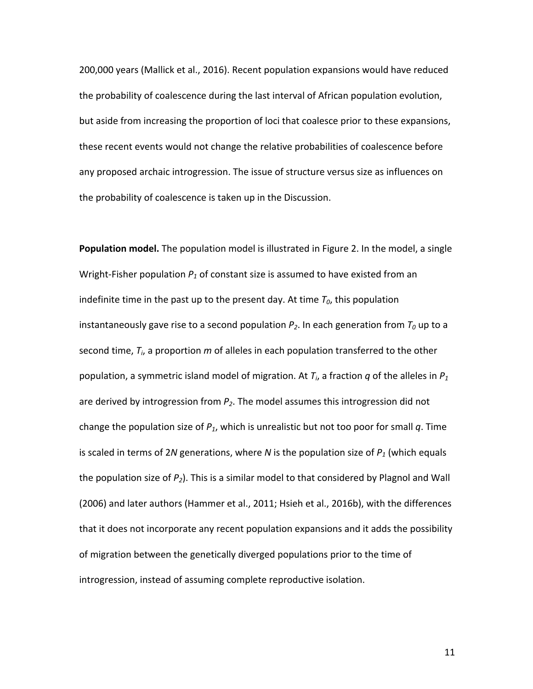200,000 years (Mallick et al., 2016). Recent population expansions would have reduced the probability of coalescence during the last interval of African population evolution, but aside from increasing the proportion of loci that coalesce prior to these expansions, these recent events would not change the relative probabilities of coalescence before any proposed archaic introgression. The issue of structure versus size as influences on the probability of coalescence is taken up in the Discussion.

**Population model.** The population model is illustrated in Figure 2. In the model, a single Wright-Fisher population  $P_1$  of constant size is assumed to have existed from an indefinite time in the past up to the present day. At time  $T_0$ , this population instantaneously gave rise to a second population  $P_2$ . In each generation from  $T_0$  up to a second time,  $T_i$ , a proportion  $m$  of alleles in each population transferred to the other population, a symmetric island model of migration. At  $T_i$ , a fraction  $q$  of the alleles in  $P_1$ are derived by introgression from  $P_2$ . The model assumes this introgression did not change the population size of  $P_1$ , which is unrealistic but not too poor for small q. Time is scaled in terms of 2*N* generations, where *N* is the population size of  $P_1$  (which equals the population size of  $P_2$ ). This is a similar model to that considered by Plagnol and Wall (2006) and later authors (Hammer et al., 2011; Hsieh et al., 2016b), with the differences that it does not incorporate any recent population expansions and it adds the possibility of migration between the genetically diverged populations prior to the time of introgression, instead of assuming complete reproductive isolation.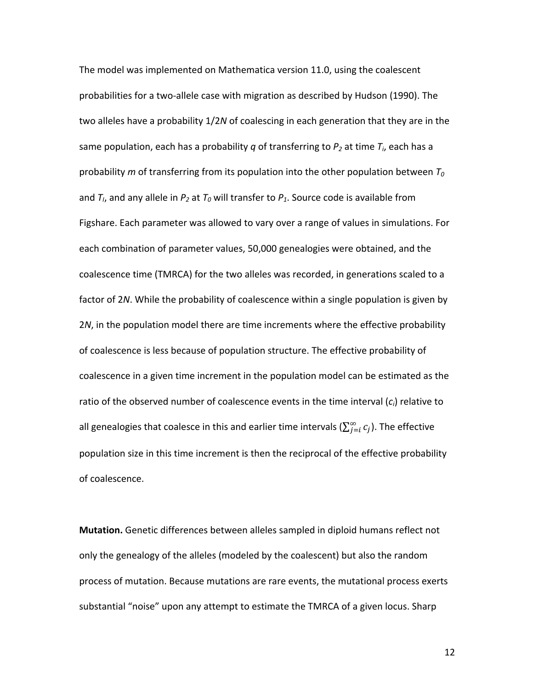The model was implemented on Mathematica version 11.0, using the coalescent probabilities for a two-allele case with migration as described by Hudson (1990). The two alleles have a probability 1/2*N* of coalescing in each generation that they are in the same population, each has a probability *q* of transferring to  $P_2$  at time  $T_i$ , each has a probability  $m$  of transferring from its population into the other population between  $T_0$ and  $T_l$ , and any allele in  $P_2$  at  $T_0$  will transfer to  $P_1$ . Source code is available from Figshare. Each parameter was allowed to vary over a range of values in simulations. For each combination of parameter values, 50,000 genealogies were obtained, and the coalescence time (TMRCA) for the two alleles was recorded, in generations scaled to a factor of 2*N*. While the probability of coalescence within a single population is given by 2*N*, in the population model there are time increments where the effective probability of coalescence is less because of population structure. The effective probability of coalescence in a given time increment in the population model can be estimated as the ratio of the observed number of coalescence events in the time interval  $(c_i)$  relative to all genealogies that coalesce in this and earlier time intervals ( $\sum_{j=i}^{\infty} c_j$ ). The effective population size in this time increment is then the reciprocal of the effective probability of coalescence.

**Mutation.** Genetic differences between alleles sampled in diploid humans reflect not only the genealogy of the alleles (modeled by the coalescent) but also the random process of mutation. Because mutations are rare events, the mutational process exerts substantial "noise" upon any attempt to estimate the TMRCA of a given locus. Sharp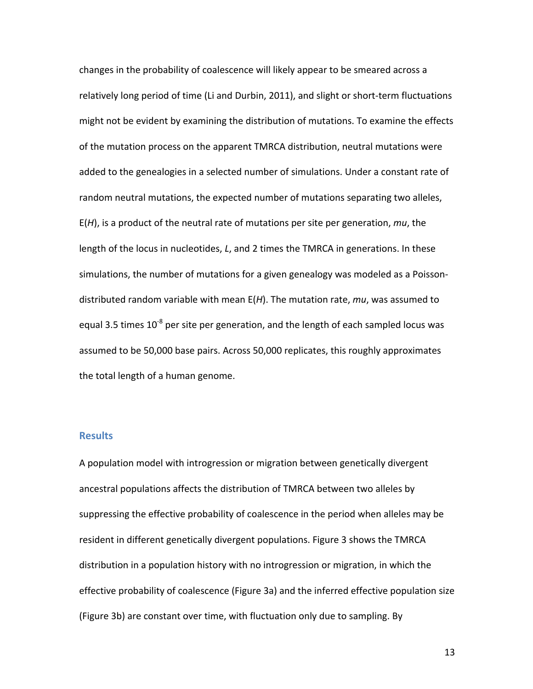changes in the probability of coalescence will likely appear to be smeared across a relatively long period of time (Li and Durbin, 2011), and slight or short-term fluctuations might not be evident by examining the distribution of mutations. To examine the effects of the mutation process on the apparent TMRCA distribution, neutral mutations were added to the genealogies in a selected number of simulations. Under a constant rate of random neutral mutations, the expected number of mutations separating two alleles,  $E(H)$ , is a product of the neutral rate of mutations per site per generation,  $mu$ , the length of the locus in nucleotides, *L*, and 2 times the TMRCA in generations. In these simulations, the number of mutations for a given genealogy was modeled as a Poissondistributed random variable with mean  $E(H)$ . The mutation rate,  $mu$ , was assumed to equal 3.5 times 10<sup>-8</sup> per site per generation, and the length of each sampled locus was assumed to be 50,000 base pairs. Across 50,000 replicates, this roughly approximates the total length of a human genome.

## **Results**

A population model with introgression or migration between genetically divergent ancestral populations affects the distribution of TMRCA between two alleles by suppressing the effective probability of coalescence in the period when alleles may be resident in different genetically divergent populations. Figure 3 shows the TMRCA distribution in a population history with no introgression or migration, in which the effective probability of coalescence (Figure 3a) and the inferred effective population size (Figure 3b) are constant over time, with fluctuation only due to sampling. By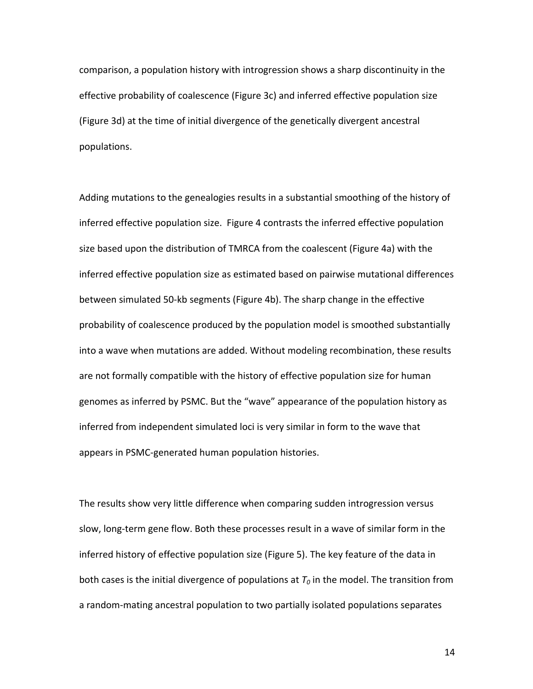comparison, a population history with introgression shows a sharp discontinuity in the effective probability of coalescence (Figure 3c) and inferred effective population size (Figure 3d) at the time of initial divergence of the genetically divergent ancestral populations. 

Adding mutations to the genealogies results in a substantial smoothing of the history of inferred effective population size. Figure 4 contrasts the inferred effective population size based upon the distribution of TMRCA from the coalescent (Figure 4a) with the inferred effective population size as estimated based on pairwise mutational differences between simulated 50-kb segments (Figure 4b). The sharp change in the effective probability of coalescence produced by the population model is smoothed substantially into a wave when mutations are added. Without modeling recombination, these results are not formally compatible with the history of effective population size for human genomes as inferred by PSMC. But the "wave" appearance of the population history as inferred from independent simulated loci is very similar in form to the wave that appears in PSMC-generated human population histories.

The results show very little difference when comparing sudden introgression versus slow, long-term gene flow. Both these processes result in a wave of similar form in the inferred history of effective population size (Figure 5). The key feature of the data in both cases is the initial divergence of populations at  $T_0$  in the model. The transition from a random-mating ancestral population to two partially isolated populations separates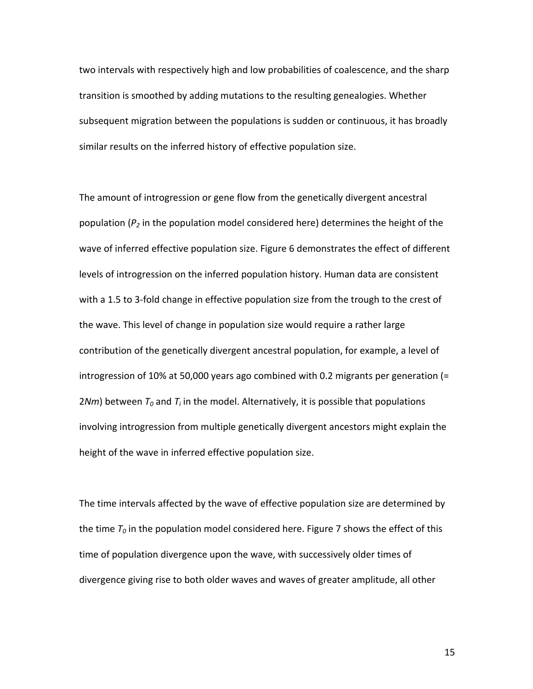two intervals with respectively high and low probabilities of coalescence, and the sharp transition is smoothed by adding mutations to the resulting genealogies. Whether subsequent migration between the populations is sudden or continuous, it has broadly similar results on the inferred history of effective population size.

The amount of introgression or gene flow from the genetically divergent ancestral population  $(P_2)$  in the population model considered here) determines the height of the wave of inferred effective population size. Figure 6 demonstrates the effect of different levels of introgression on the inferred population history. Human data are consistent with a 1.5 to 3-fold change in effective population size from the trough to the crest of the wave. This level of change in population size would require a rather large contribution of the genetically divergent ancestral population, for example, a level of introgression of 10% at 50,000 years ago combined with 0.2 migrants per generation  $(=$  $2Nm$ ) between  $T_0$  and  $T_i$  in the model. Alternatively, it is possible that populations involving introgression from multiple genetically divergent ancestors might explain the height of the wave in inferred effective population size.

The time intervals affected by the wave of effective population size are determined by the time  $T_0$  in the population model considered here. Figure 7 shows the effect of this time of population divergence upon the wave, with successively older times of divergence giving rise to both older waves and waves of greater amplitude, all other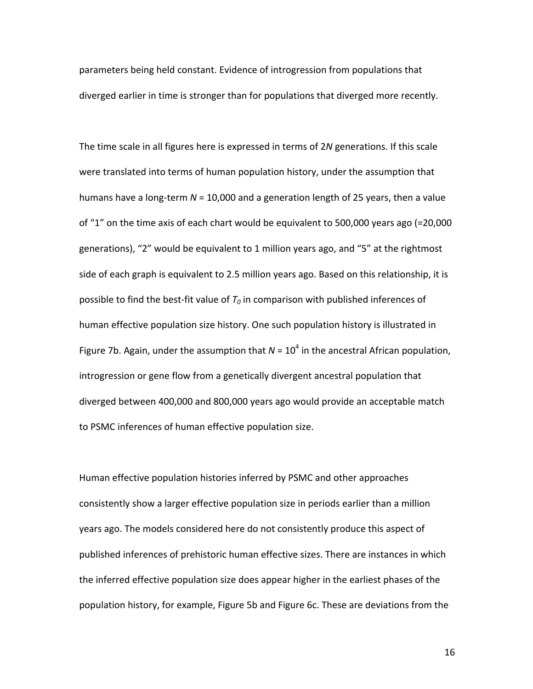parameters being held constant. Evidence of introgression from populations that diverged earlier in time is stronger than for populations that diverged more recently.

The time scale in all figures here is expressed in terms of 2N generations. If this scale were translated into terms of human population history, under the assumption that humans have a long-term  $N = 10,000$  and a generation length of 25 years, then a value of "1" on the time axis of each chart would be equivalent to 500,000 years ago (=20,000 generations), "2" would be equivalent to 1 million years ago, and "5" at the rightmost side of each graph is equivalent to 2.5 million years ago. Based on this relationship, it is possible to find the best-fit value of  $T_0$  in comparison with published inferences of human effective population size history. One such population history is illustrated in Figure 7b. Again, under the assumption that  $N = 10^4$  in the ancestral African population, introgression or gene flow from a genetically divergent ancestral population that diverged between 400,000 and 800,000 years ago would provide an acceptable match to PSMC inferences of human effective population size.

Human effective population histories inferred by PSMC and other approaches consistently show a larger effective population size in periods earlier than a million years ago. The models considered here do not consistently produce this aspect of published inferences of prehistoric human effective sizes. There are instances in which the inferred effective population size does appear higher in the earliest phases of the population history, for example, Figure 5b and Figure 6c. These are deviations from the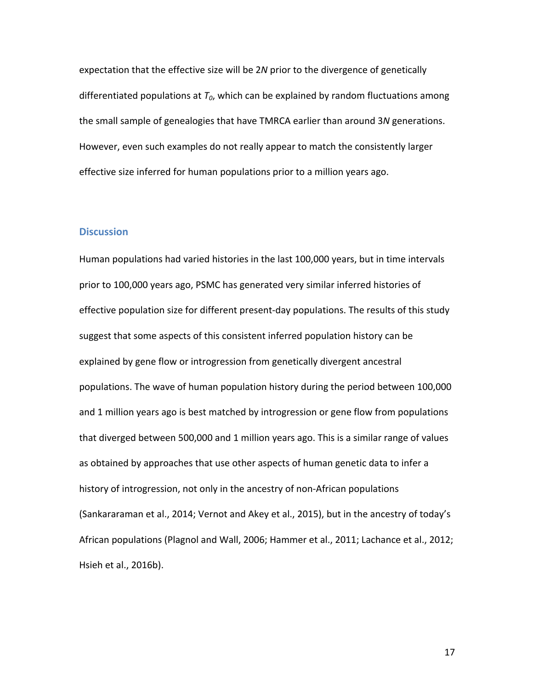expectation that the effective size will be 2N prior to the divergence of genetically differentiated populations at  $T_0$ , which can be explained by random fluctuations among the small sample of genealogies that have TMRCA earlier than around 3N generations. However, even such examples do not really appear to match the consistently larger effective size inferred for human populations prior to a million years ago.

### **Discussion**

Human populations had varied histories in the last 100,000 years, but in time intervals prior to 100,000 years ago, PSMC has generated very similar inferred histories of effective population size for different present-day populations. The results of this study suggest that some aspects of this consistent inferred population history can be explained by gene flow or introgression from genetically divergent ancestral populations. The wave of human population history during the period between 100,000 and 1 million years ago is best matched by introgression or gene flow from populations that diverged between 500,000 and 1 million years ago. This is a similar range of values as obtained by approaches that use other aspects of human genetic data to infer a history of introgression, not only in the ancestry of non-African populations (Sankararaman et al., 2014; Vernot and Akey et al., 2015), but in the ancestry of today's African populations (Plagnol and Wall, 2006; Hammer et al., 2011; Lachance et al., 2012; Hsieh et al., 2016b).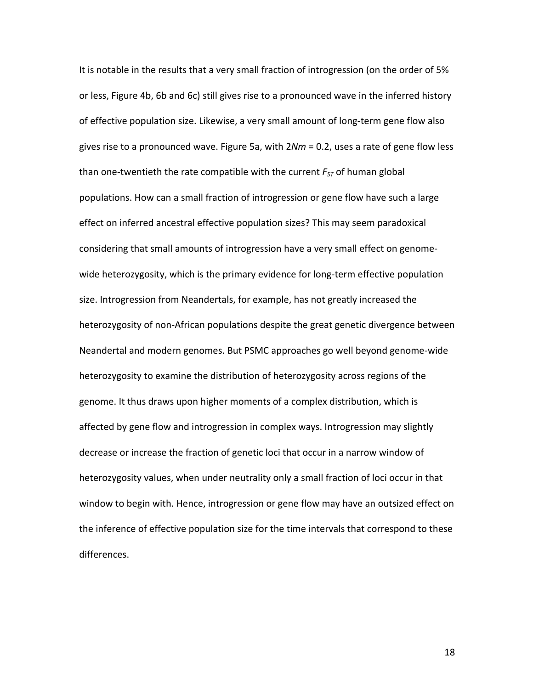It is notable in the results that a very small fraction of introgression (on the order of 5% or less, Figure 4b, 6b and 6c) still gives rise to a pronounced wave in the inferred history of effective population size. Likewise, a very small amount of long-term gene flow also gives rise to a pronounced wave. Figure 5a, with  $2Nm = 0.2$ , uses a rate of gene flow less than one-twentieth the rate compatible with the current  $F_{ST}$  of human global populations. How can a small fraction of introgression or gene flow have such a large effect on inferred ancestral effective population sizes? This may seem paradoxical considering that small amounts of introgression have a very small effect on genomewide heterozygosity, which is the primary evidence for long-term effective population size. Introgression from Neandertals, for example, has not greatly increased the heterozygosity of non-African populations despite the great genetic divergence between Neandertal and modern genomes. But PSMC approaches go well beyond genome-wide heterozygosity to examine the distribution of heterozygosity across regions of the genome. It thus draws upon higher moments of a complex distribution, which is affected by gene flow and introgression in complex ways. Introgression may slightly decrease or increase the fraction of genetic loci that occur in a narrow window of heterozygosity values, when under neutrality only a small fraction of loci occur in that window to begin with. Hence, introgression or gene flow may have an outsized effect on the inference of effective population size for the time intervals that correspond to these differences.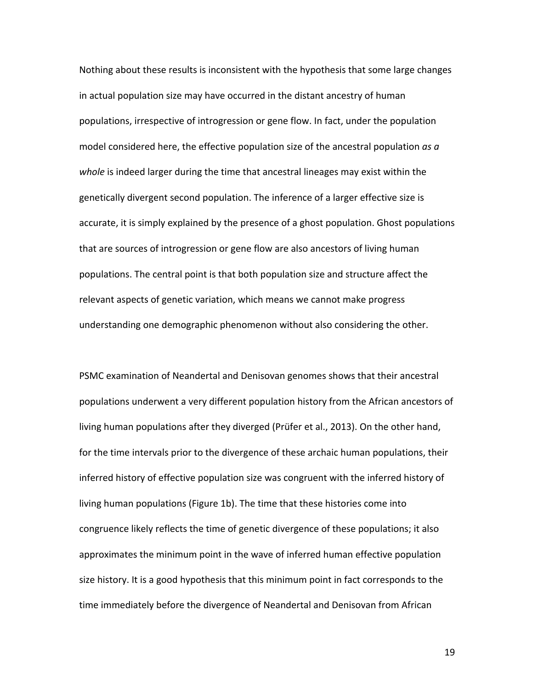Nothing about these results is inconsistent with the hypothesis that some large changes in actual population size may have occurred in the distant ancestry of human populations, irrespective of introgression or gene flow. In fact, under the population model considered here, the effective population size of the ancestral population *as a* whole is indeed larger during the time that ancestral lineages may exist within the genetically divergent second population. The inference of a larger effective size is accurate, it is simply explained by the presence of a ghost population. Ghost populations that are sources of introgression or gene flow are also ancestors of living human populations. The central point is that both population size and structure affect the relevant aspects of genetic variation, which means we cannot make progress understanding one demographic phenomenon without also considering the other.

PSMC examination of Neandertal and Denisovan genomes shows that their ancestral populations underwent a very different population history from the African ancestors of living human populations after they diverged (Prüfer et al., 2013). On the other hand, for the time intervals prior to the divergence of these archaic human populations, their inferred history of effective population size was congruent with the inferred history of living human populations (Figure 1b). The time that these histories come into congruence likely reflects the time of genetic divergence of these populations; it also approximates the minimum point in the wave of inferred human effective population size history. It is a good hypothesis that this minimum point in fact corresponds to the time immediately before the divergence of Neandertal and Denisovan from African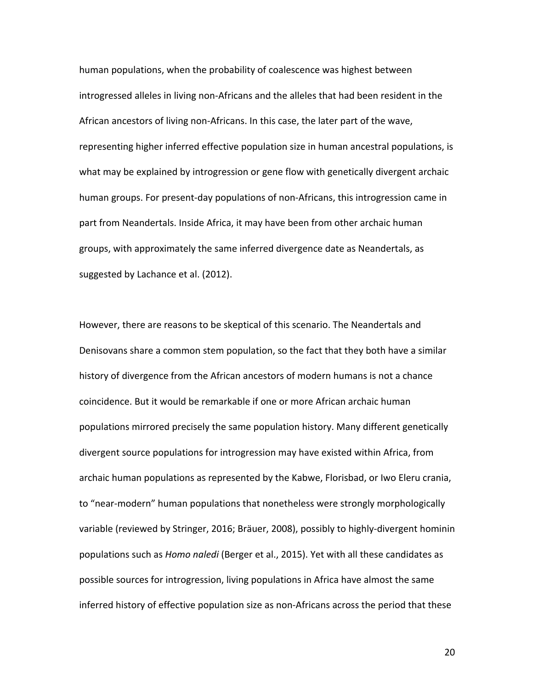human populations, when the probability of coalescence was highest between introgressed alleles in living non-Africans and the alleles that had been resident in the African ancestors of living non-Africans. In this case, the later part of the wave, representing higher inferred effective population size in human ancestral populations, is what may be explained by introgression or gene flow with genetically divergent archaic human groups. For present-day populations of non-Africans, this introgression came in part from Neandertals. Inside Africa, it may have been from other archaic human groups, with approximately the same inferred divergence date as Neandertals, as suggested by Lachance et al. (2012).

However, there are reasons to be skeptical of this scenario. The Neandertals and Denisovans share a common stem population, so the fact that they both have a similar history of divergence from the African ancestors of modern humans is not a chance coincidence. But it would be remarkable if one or more African archaic human populations mirrored precisely the same population history. Many different genetically divergent source populations for introgression may have existed within Africa, from archaic human populations as represented by the Kabwe, Florisbad, or Iwo Eleru crania, to "near-modern" human populations that nonetheless were strongly morphologically variable (reviewed by Stringer, 2016; Bräuer, 2008), possibly to highly-divergent hominin populations such as *Homo naledi* (Berger et al., 2015). Yet with all these candidates as possible sources for introgression, living populations in Africa have almost the same inferred history of effective population size as non-Africans across the period that these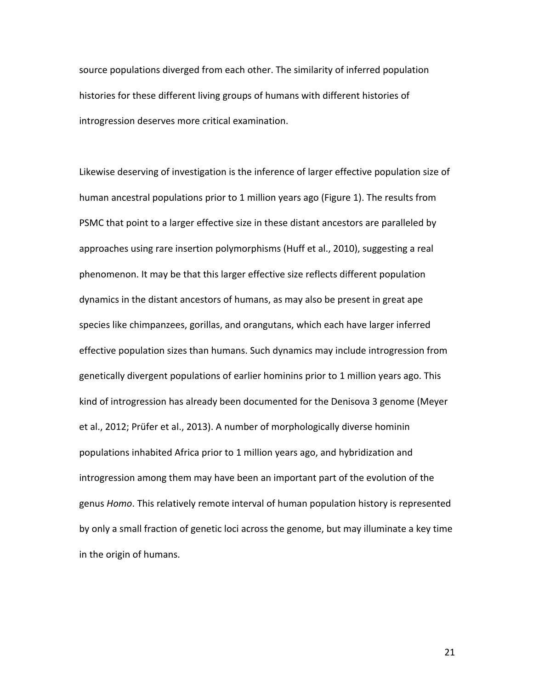source populations diverged from each other. The similarity of inferred population histories for these different living groups of humans with different histories of introgression deserves more critical examination.

Likewise deserving of investigation is the inference of larger effective population size of human ancestral populations prior to 1 million years ago (Figure 1). The results from PSMC that point to a larger effective size in these distant ancestors are paralleled by approaches using rare insertion polymorphisms (Huff et al., 2010), suggesting a real phenomenon. It may be that this larger effective size reflects different population dynamics in the distant ancestors of humans, as may also be present in great ape species like chimpanzees, gorillas, and orangutans, which each have larger inferred effective population sizes than humans. Such dynamics may include introgression from genetically divergent populations of earlier hominins prior to 1 million years ago. This kind of introgression has already been documented for the Denisova 3 genome (Meyer et al., 2012; Prüfer et al., 2013). A number of morphologically diverse hominin populations inhabited Africa prior to 1 million years ago, and hybridization and introgression among them may have been an important part of the evolution of the genus *Homo*. This relatively remote interval of human population history is represented by only a small fraction of genetic loci across the genome, but may illuminate a key time in the origin of humans.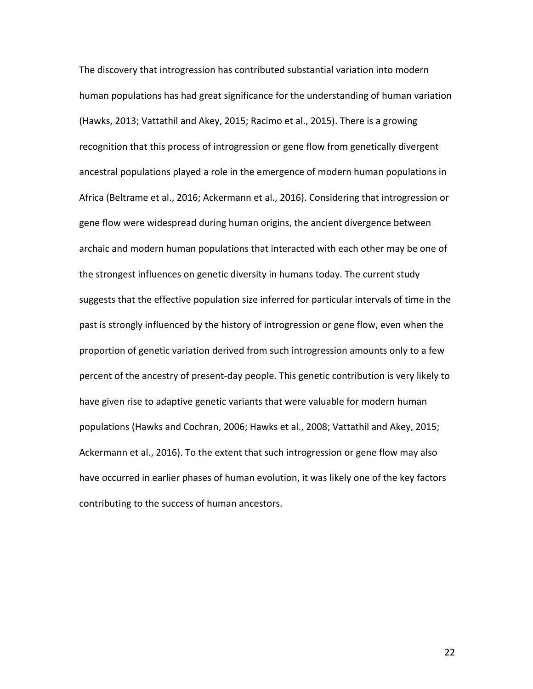The discovery that introgression has contributed substantial variation into modern human populations has had great significance for the understanding of human variation (Hawks, 2013; Vattathil and Akey, 2015; Racimo et al., 2015). There is a growing recognition that this process of introgression or gene flow from genetically divergent ancestral populations played a role in the emergence of modern human populations in Africa (Beltrame et al., 2016; Ackermann et al., 2016). Considering that introgression or gene flow were widespread during human origins, the ancient divergence between archaic and modern human populations that interacted with each other may be one of the strongest influences on genetic diversity in humans today. The current study suggests that the effective population size inferred for particular intervals of time in the past is strongly influenced by the history of introgression or gene flow, even when the proportion of genetic variation derived from such introgression amounts only to a few percent of the ancestry of present-day people. This genetic contribution is very likely to have given rise to adaptive genetic variants that were valuable for modern human populations (Hawks and Cochran, 2006; Hawks et al., 2008; Vattathil and Akey, 2015; Ackermann et al., 2016). To the extent that such introgression or gene flow may also have occurred in earlier phases of human evolution, it was likely one of the key factors contributing to the success of human ancestors.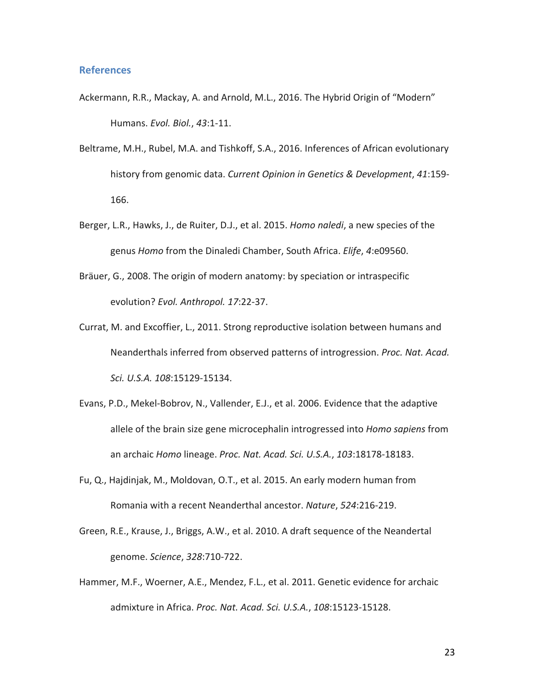#### **References**

- Ackermann, R.R., Mackay, A. and Arnold, M.L., 2016. The Hybrid Origin of "Modern" Humans. *Evol. Biol.*, *43*:1-11.
- Beltrame, M.H., Rubel, M.A. and Tishkoff, S.A., 2016. Inferences of African evolutionary history from genomic data. *Current Opinion in Genetics & Development*, 41:159-166.
- Berger, L.R., Hawks, J., de Ruiter, D.J., et al. 2015. *Homo naledi*, a new species of the genus *Homo* from the Dinaledi Chamber, South Africa. *Elife*, 4:e09560.
- Bräuer, G., 2008. The origin of modern anatomy: by speciation or intraspecific evolution? *Evol. Anthropol. 17*:22-37.
- Currat, M. and Excoffier, L., 2011. Strong reproductive isolation between humans and Neanderthals inferred from observed patterns of introgression. Proc. Nat. Acad. *Sci. U.S.A. 108*:15129-15134.
- Evans, P.D., Mekel-Bobrov, N., Vallender, E.J., et al. 2006. Evidence that the adaptive allele of the brain size gene microcephalin introgressed into *Homo sapiens* from an archaic *Homo* lineage. *Proc. Nat. Acad. Sci. U.S.A.*, *103*:18178-18183.
- Fu, Q., Hajdinjak, M., Moldovan, O.T., et al. 2015. An early modern human from Romania with a recent Neanderthal ancestor. *Nature*, 524:216-219.
- Green, R.E., Krause, J., Briggs, A.W., et al. 2010. A draft sequence of the Neandertal genome. *Science*, *328*:710-722.
- Hammer, M.F., Woerner, A.E., Mendez, F.L., et al. 2011. Genetic evidence for archaic admixture in Africa. *Proc. Nat. Acad. Sci. U.S.A.*, 108:15123-15128.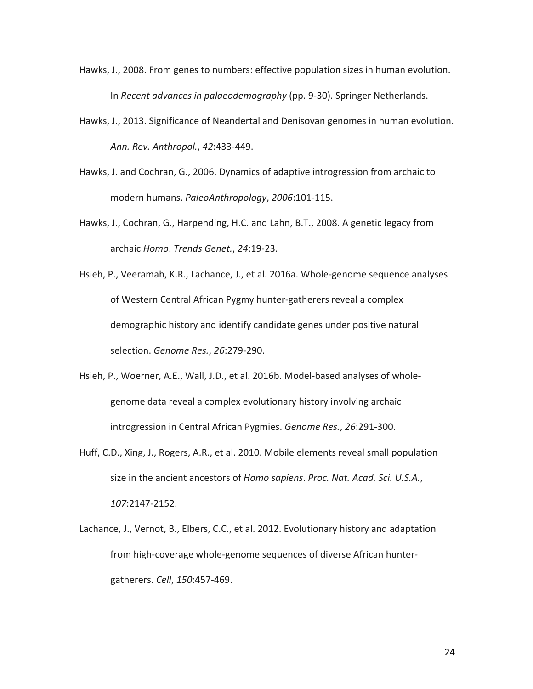- Hawks, J., 2008. From genes to numbers: effective population sizes in human evolution. In *Recent advances in palaeodemography* (pp. 9-30). Springer Netherlands.
- Hawks, J., 2013. Significance of Neandertal and Denisovan genomes in human evolution. *Ann. Rev. Anthropol.*, *42*:433-449.
- Hawks, J. and Cochran, G., 2006. Dynamics of adaptive introgression from archaic to modern humans. *PaleoAnthropology*, *2006*:101-115.
- Hawks, J., Cochran, G., Harpending, H.C. and Lahn, B.T., 2008. A genetic legacy from archaic *Homo*. *Trends Genet.*, *24*:19-23.
- Hsieh, P., Veeramah, K.R., Lachance, J., et al. 2016a. Whole-genome sequence analyses of Western Central African Pygmy hunter-gatherers reveal a complex demographic history and identify candidate genes under positive natural selection. *Genome Res.*, *26*:279-290.
- Hsieh, P., Woerner, A.E., Wall, J.D., et al. 2016b. Model-based analyses of wholegenome data reveal a complex evolutionary history involving archaic introgression in Central African Pygmies. *Genome Res.*, 26:291-300.
- Huff, C.D., Xing, J., Rogers, A.R., et al. 2010. Mobile elements reveal small population size in the ancient ancestors of *Homo sapiens*. *Proc. Nat. Acad. Sci. U.S.A.*, *107*:2147-2152.
- Lachance, J., Vernot, B., Elbers, C.C., et al. 2012. Evolutionary history and adaptation from high-coverage whole-genome sequences of diverse African huntergatherers. *Cell*, *150*:457-469.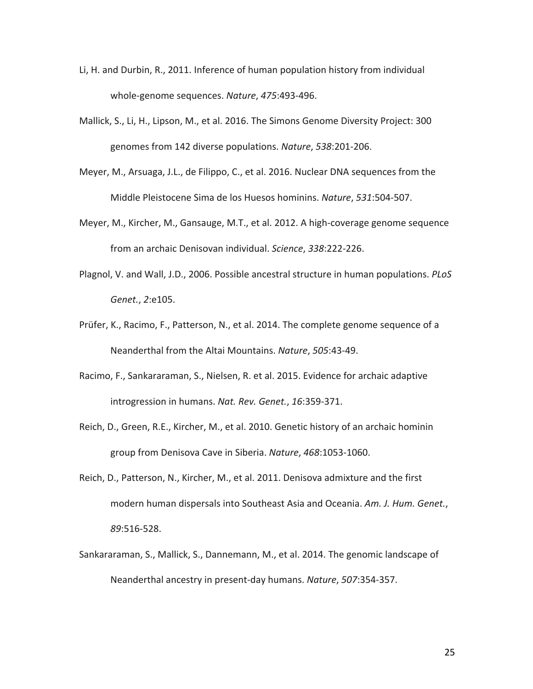- Li, H. and Durbin, R., 2011. Inference of human population history from individual whole-genome sequences. Nature, 475:493-496.
- Mallick, S., Li, H., Lipson, M., et al. 2016. The Simons Genome Diversity Project: 300 genomes from 142 diverse populations. *Nature*, 538:201-206.
- Meyer, M., Arsuaga, J.L., de Filippo, C., et al. 2016. Nuclear DNA sequences from the Middle Pleistocene Sima de los Huesos hominins. *Nature*, 531:504-507.
- Meyer, M., Kircher, M., Gansauge, M.T., et al. 2012. A high-coverage genome sequence from an archaic Denisovan individual. *Science*, 338:222-226.
- Plagnol, V. and Wall, J.D., 2006. Possible ancestral structure in human populations. *PLoS Genet.*, *2*:e105.
- Prüfer, K., Racimo, F., Patterson, N., et al. 2014. The complete genome sequence of a Neanderthal from the Altai Mountains. *Nature*, 505:43-49.
- Racimo, F., Sankararaman, S., Nielsen, R. et al. 2015. Evidence for archaic adaptive introgression in humans. Nat. Rev. Genet., 16:359-371.
- Reich, D., Green, R.E., Kircher, M., et al. 2010. Genetic history of an archaic hominin group from Denisova Cave in Siberia. *Nature*, 468:1053-1060.
- Reich, D., Patterson, N., Kircher, M., et al. 2011. Denisova admixture and the first modern human dispersals into Southeast Asia and Oceania. Am. J. Hum. Genet., *89*:516-528.
- Sankararaman, S., Mallick, S., Dannemann, M., et al. 2014. The genomic landscape of Neanderthal ancestry in present-day humans. *Nature*, 507:354-357.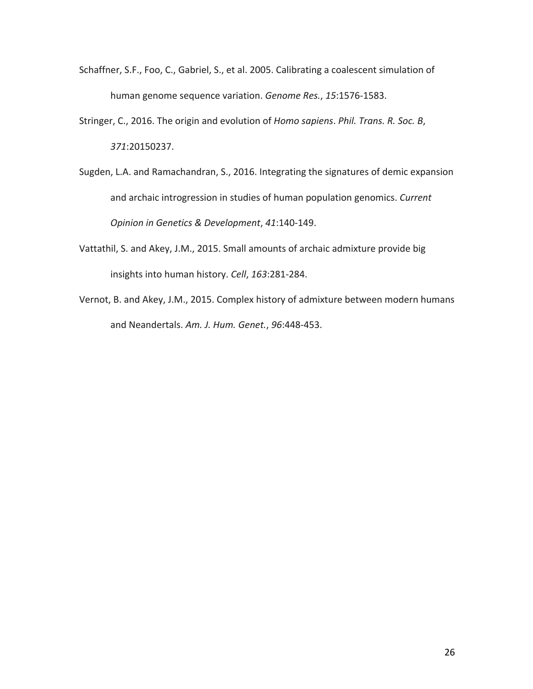- Schaffner, S.F., Foo, C., Gabriel, S., et al. 2005. Calibrating a coalescent simulation of human genome sequence variation. Genome Res., 15:1576-1583.
- Stringer, C., 2016. The origin and evolution of *Homo sapiens*. *Phil. Trans. R. Soc. B*, *371*:20150237.
- Sugden, L.A. and Ramachandran, S., 2016. Integrating the signatures of demic expansion and archaic introgression in studies of human population genomics. *Current Opinion in Genetics & Development*, *41*:140-149.
- Vattathil, S. and Akey, J.M., 2015. Small amounts of archaic admixture provide big insights into human history. *Cell*, 163:281-284.
- Vernot, B. and Akey, J.M., 2015. Complex history of admixture between modern humans and Neandertals. Am. J. Hum. Genet., 96:448-453.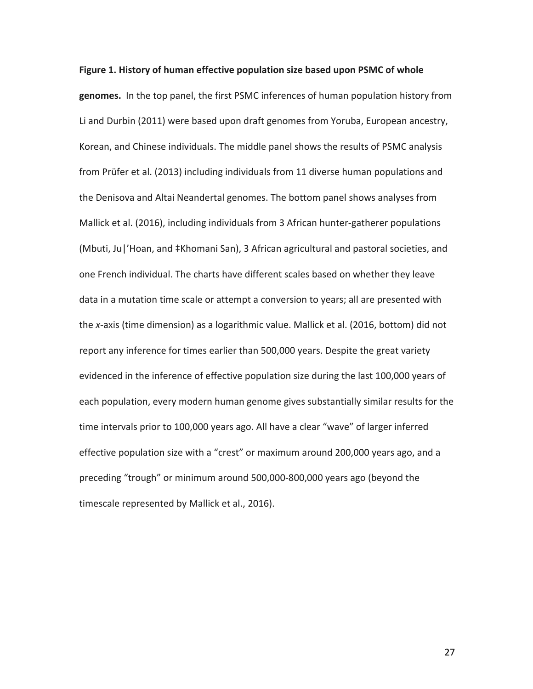genomes. In the top panel, the first PSMC inferences of human population history from Li and Durbin (2011) were based upon draft genomes from Yoruba, European ancestry, Korean, and Chinese individuals. The middle panel shows the results of PSMC analysis from Prüfer et al. (2013) including individuals from 11 diverse human populations and the Denisova and Altai Neandertal genomes. The bottom panel shows analyses from Mallick et al. (2016), including individuals from 3 African hunter-gatherer populations (Mbuti, Ju|'Hoan, and ‡Khomani San), 3 African agricultural and pastoral societies, and one French individual. The charts have different scales based on whether they leave data in a mutation time scale or attempt a conversion to years; all are presented with the *x*-axis (time dimension) as a logarithmic value. Mallick et al. (2016, bottom) did not report any inference for times earlier than 500,000 years. Despite the great variety evidenced in the inference of effective population size during the last 100,000 years of each population, every modern human genome gives substantially similar results for the time intervals prior to 100,000 years ago. All have a clear "wave" of larger inferred effective population size with a "crest" or maximum around 200,000 years ago, and a preceding "trough" or minimum around 500,000-800,000 years ago (beyond the timescale represented by Mallick et al., 2016).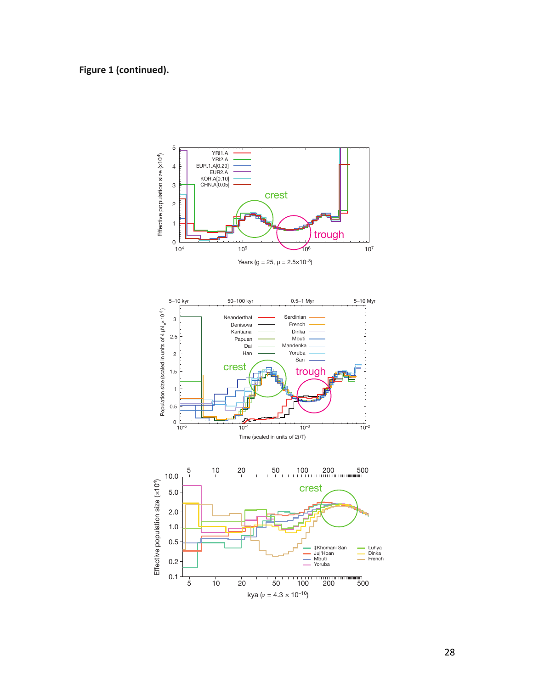# Figure 1 (continued).

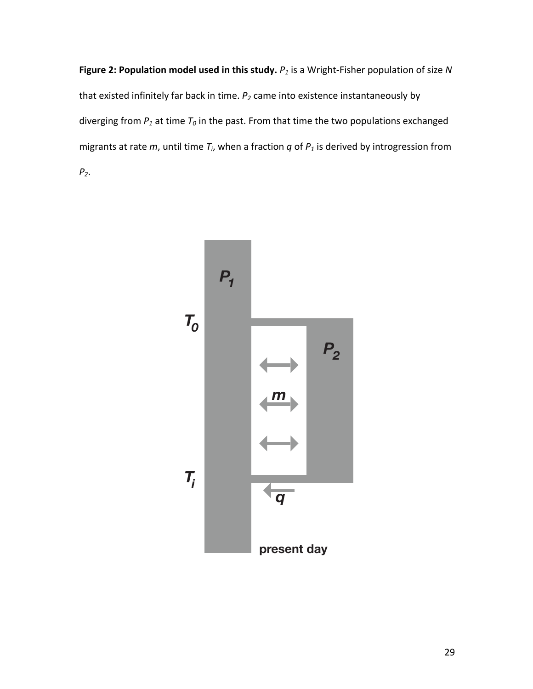**Figure 2: Population model used in this study.**  $P_1$  is a Wright-Fisher population of size N that existed infinitely far back in time.  $P_2$  came into existence instantaneously by diverging from  $P_1$  at time  $T_0$  in the past. From that time the two populations exchanged migrants at rate  $m$ , until time  $T_i$ , when a fraction  $q$  of  $P_1$  is derived by introgression from *P2*. 

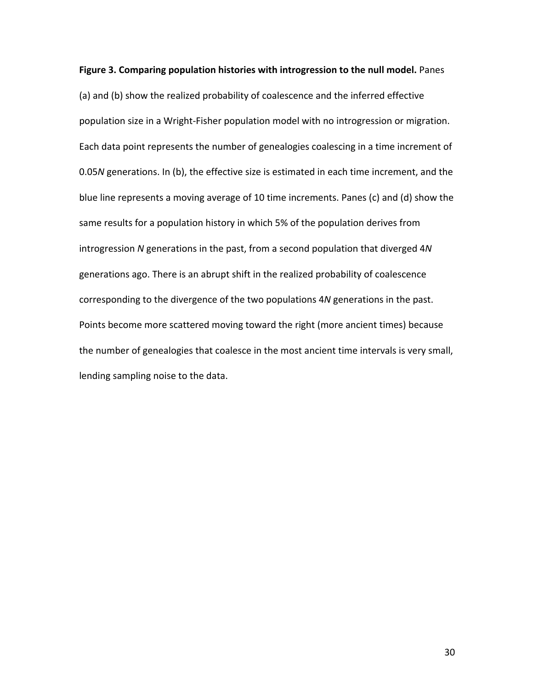Figure 3. Comparing population histories with introgression to the null model. Panes (a) and (b) show the realized probability of coalescence and the inferred effective population size in a Wright-Fisher population model with no introgression or migration. Each data point represents the number of genealogies coalescing in a time increment of 0.05*N* generations. In (b), the effective size is estimated in each time increment, and the blue line represents a moving average of 10 time increments. Panes (c) and (d) show the same results for a population history in which 5% of the population derives from introgression *N* generations in the past, from a second population that diverged 4*N* generations ago. There is an abrupt shift in the realized probability of coalescence corresponding to the divergence of the two populations 4*N* generations in the past. Points become more scattered moving toward the right (more ancient times) because the number of genealogies that coalesce in the most ancient time intervals is very small, lending sampling noise to the data.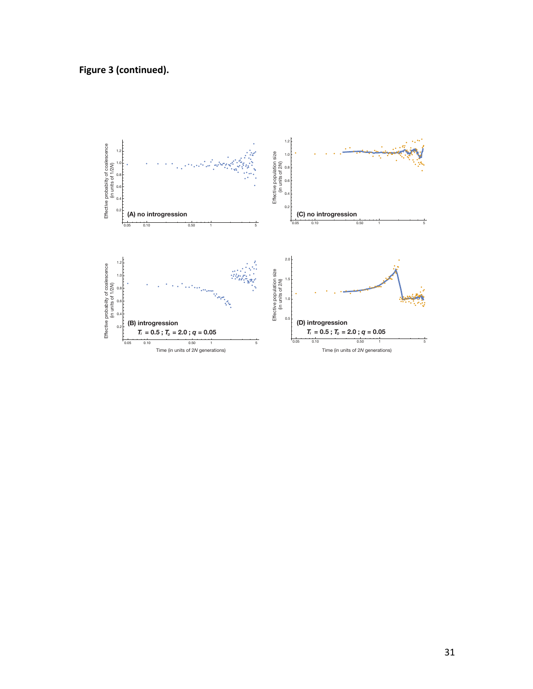**Figure 3 (continued).**

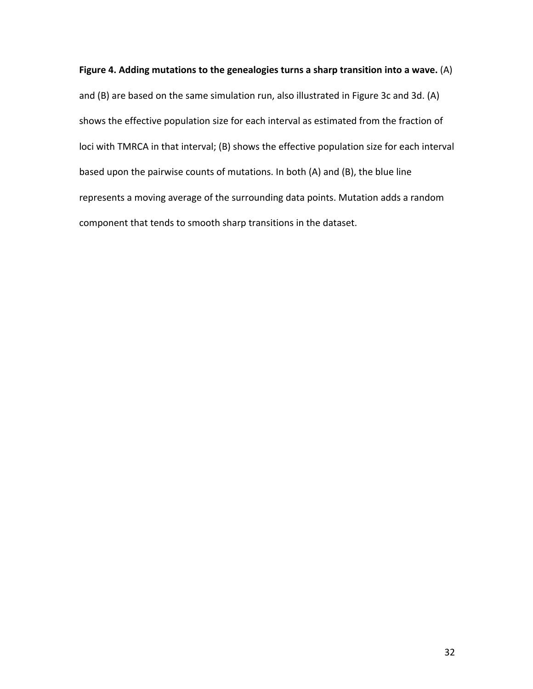## Figure 4. Adding mutations to the genealogies turns a sharp transition into a wave. (A)

and (B) are based on the same simulation run, also illustrated in Figure 3c and 3d. (A) shows the effective population size for each interval as estimated from the fraction of loci with TMRCA in that interval; (B) shows the effective population size for each interval based upon the pairwise counts of mutations. In both (A) and (B), the blue line represents a moving average of the surrounding data points. Mutation adds a random component that tends to smooth sharp transitions in the dataset.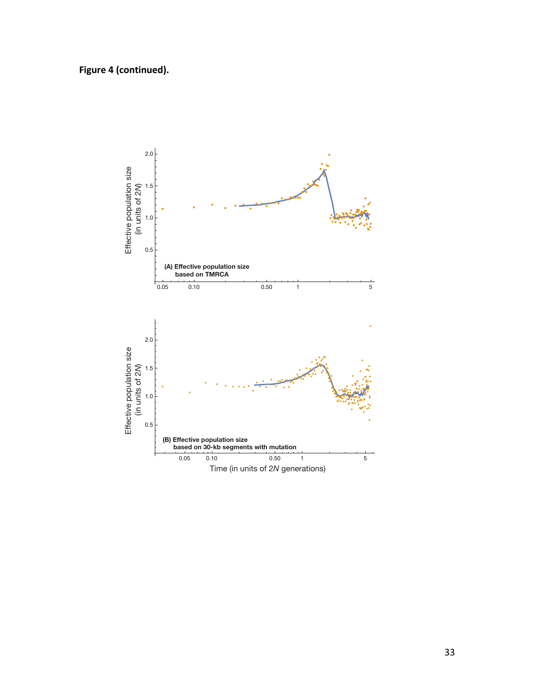Figure 4 (continued).

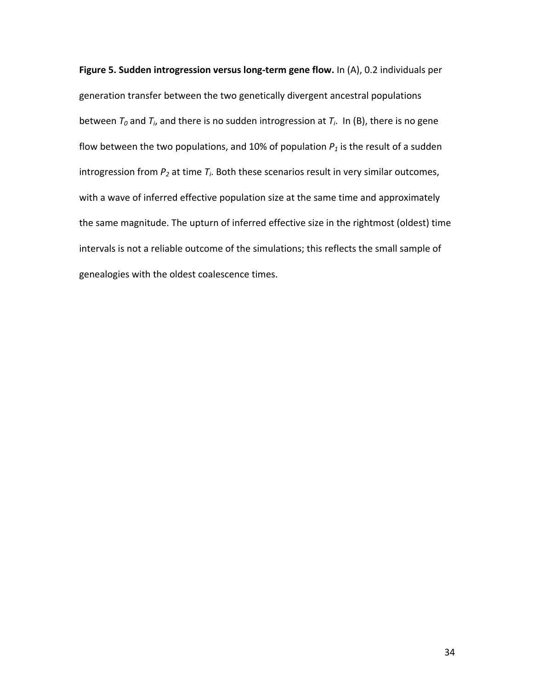**Figure 5. Sudden introgression versus long-term gene flow.** In (A), 0.2 individuals per generation transfer between the two genetically divergent ancestral populations between  $T_0$  and  $T_i$ , and there is no sudden introgression at  $T_i$ . In (B), there is no gene flow between the two populations, and 10% of population  $P_1$  is the result of a sudden introgression from  $P_2$  at time  $T_i$ . Both these scenarios result in very similar outcomes, with a wave of inferred effective population size at the same time and approximately the same magnitude. The upturn of inferred effective size in the rightmost (oldest) time intervals is not a reliable outcome of the simulations; this reflects the small sample of genealogies with the oldest coalescence times.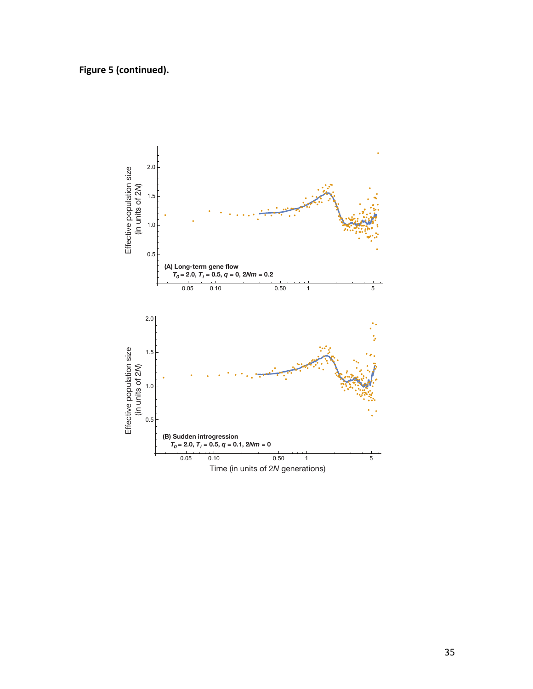Figure 5 (continued).

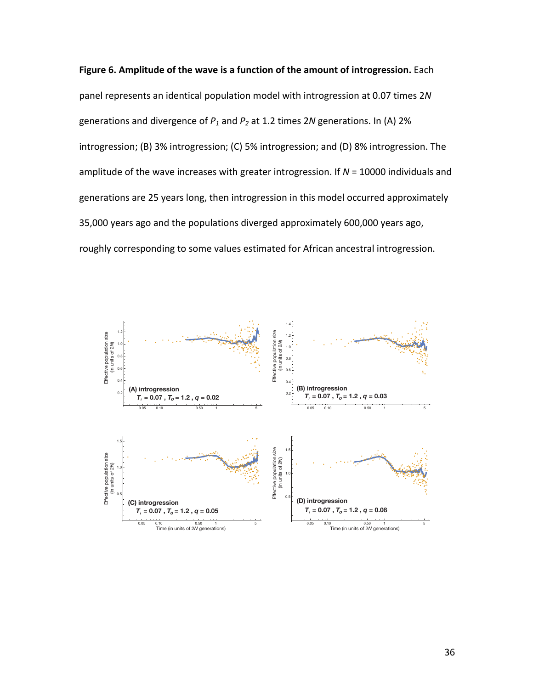

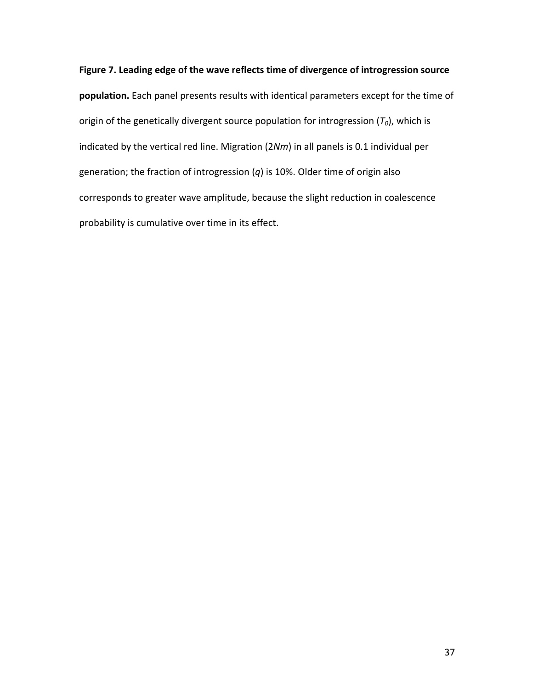Figure 7. Leading edge of the wave reflects time of divergence of introgression source **population.** Each panel presents results with identical parameters except for the time of origin of the genetically divergent source population for introgression  $(T_0)$ , which is indicated by the vertical red line. Migration (2Nm) in all panels is 0.1 individual per generation; the fraction of introgression  $(q)$  is 10%. Older time of origin also corresponds to greater wave amplitude, because the slight reduction in coalescence probability is cumulative over time in its effect.